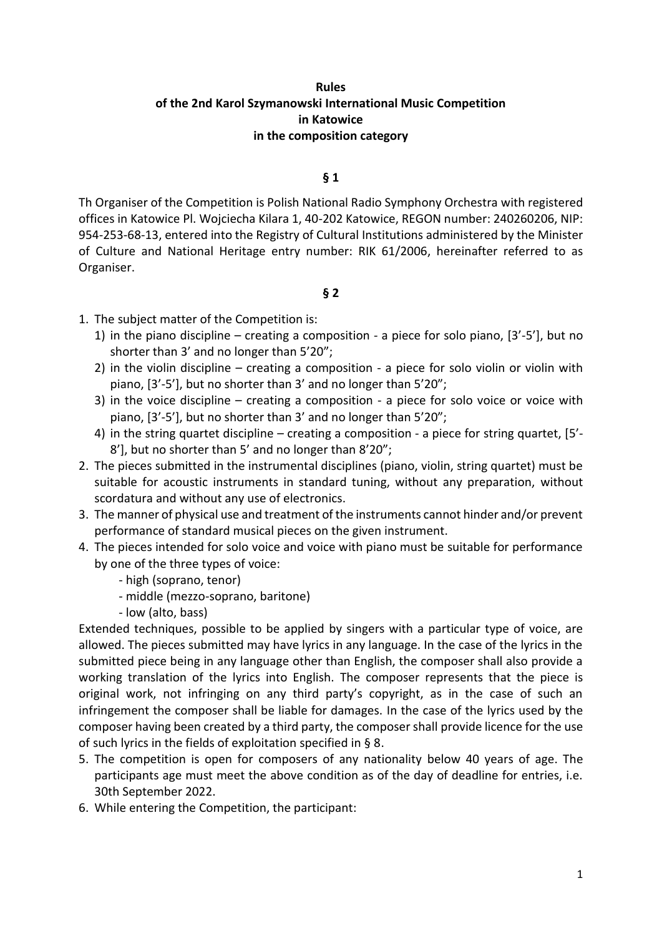### **Rules of the 2nd Karol Szymanowski International Music Competition in Katowice in the composition category**

#### **§ 1**

Th Organiser of the Competition is Polish National Radio Symphony Orchestra with registered offices in Katowice Pl. Wojciecha Kilara 1, 40-202 Katowice, REGON number: 240260206, NIP: 954-253-68-13, entered into the Registry of Cultural Institutions administered by the Minister of Culture and National Heritage entry number: RIK 61/2006, hereinafter referred to as Organiser.

#### **§ 2**

- 1. The subject matter of the Competition is:
	- 1) in the piano discipline creating a composition a piece for solo piano, [3'-5'], but no shorter than 3' and no longer than 5'20";
	- 2) in the violin discipline creating a composition a piece for solo violin or violin with piano, [3'-5'], but no shorter than 3' and no longer than 5'20";
	- 3) in the voice discipline creating a composition a piece for solo voice or voice with piano, [3'-5'], but no shorter than 3' and no longer than 5'20";
	- 4) in the string quartet discipline creating a composition a piece for string quartet, [5'- 8'], but no shorter than 5' and no longer than 8'20";
- 2. The pieces submitted in the instrumental disciplines (piano, violin, string quartet) must be suitable for acoustic instruments in standard tuning, without any preparation, without scordatura and without any use of electronics.
- 3. The manner of physical use and treatment of the instruments cannot hinder and/or prevent performance of standard musical pieces on the given instrument.
- 4. The pieces intended for solo voice and voice with piano must be suitable for performance by one of the three types of voice:
	- high (soprano, tenor)
	- middle (mezzo-soprano, baritone)
	- low (alto, bass)

Extended techniques, possible to be applied by singers with a particular type of voice, are allowed. The pieces submitted may have lyrics in any language. In the case of the lyrics in the submitted piece being in any language other than English, the composer shall also provide a working translation of the lyrics into English. The composer represents that the piece is original work, not infringing on any third party's copyright, as in the case of such an infringement the composer shall be liable for damages. In the case of the lyrics used by the composer having been created by a third party, the composer shall provide licence for the use of such lyrics in the fields of exploitation specified in § 8.

- 5. The competition is open for composers of any nationality below 40 years of age. The participants age must meet the above condition as of the day of deadline for entries, i.e. 30th September 2022.
- 6. While entering the Competition, the participant: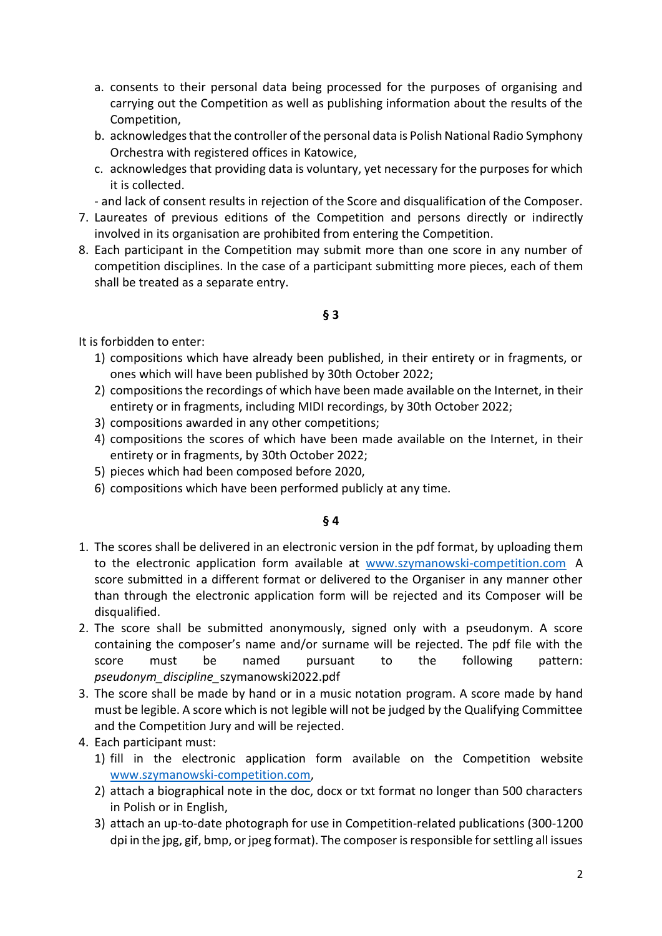- a. consents to their personal data being processed for the purposes of organising and carrying out the Competition as well as publishing information about the results of the Competition,
- b. acknowledges that the controller of the personal data is Polish National Radio Symphony Orchestra with registered offices in Katowice,
- c. acknowledges that providing data is voluntary, yet necessary for the purposes for which it is collected.
- and lack of consent results in rejection of the Score and disqualification of the Composer.
- 7. Laureates of previous editions of the Competition and persons directly or indirectly involved in its organisation are prohibited from entering the Competition.
- 8. Each participant in the Competition may submit more than one score in any number of competition disciplines. In the case of a participant submitting more pieces, each of them shall be treated as a separate entry.

### **§ 3**

It is forbidden to enter:

- 1) compositions which have already been published, in their entirety or in fragments, or ones which will have been published by 30th October 2022;
- 2) compositions the recordings of which have been made available on the Internet, in their entirety or in fragments, including MIDI recordings, by 30th October 2022;
- 3) compositions awarded in any other competitions;
- 4) compositions the scores of which have been made available on the Internet, in their entirety or in fragments, by 30th October 2022;
- 5) pieces which had been composed before 2020,
- 6) compositions which have been performed publicly at any time.

- 1. The scores shall be delivered in an electronic version in the pdf format, by uploading them to the electronic application form available at [www.szymanowski-competition.com](http://www.szymanowski-competition.com/) A score submitted in a different format or delivered to the Organiser in any manner other than through the electronic application form will be rejected and its Composer will be disqualified.
- 2. The score shall be submitted anonymously, signed only with a pseudonym. A score containing the composer's name and/or surname will be rejected. The pdf file with the score must be named pursuant to the following pattern: *pseudonym\_discipline\_*szymanowski2022.pdf
- 3. The score shall be made by hand or in a music notation program. A score made by hand must be legible. A score which is not legible will not be judged by the Qualifying Committee and the Competition Jury and will be rejected.
- 4. Each participant must:
	- 1) fill in the electronic application form available on the Competition website [www.szymanowski-competition.com,](http://www.szymanowski-competition.com/)
	- 2) attach a biographical note in the doc, docx or txt format no longer than 500 characters in Polish or in English,
	- 3) attach an up-to-date photograph for use in Competition-related publications (300-1200 dpi in the jpg, gif, bmp, or jpeg format). The composer is responsible for settling all issues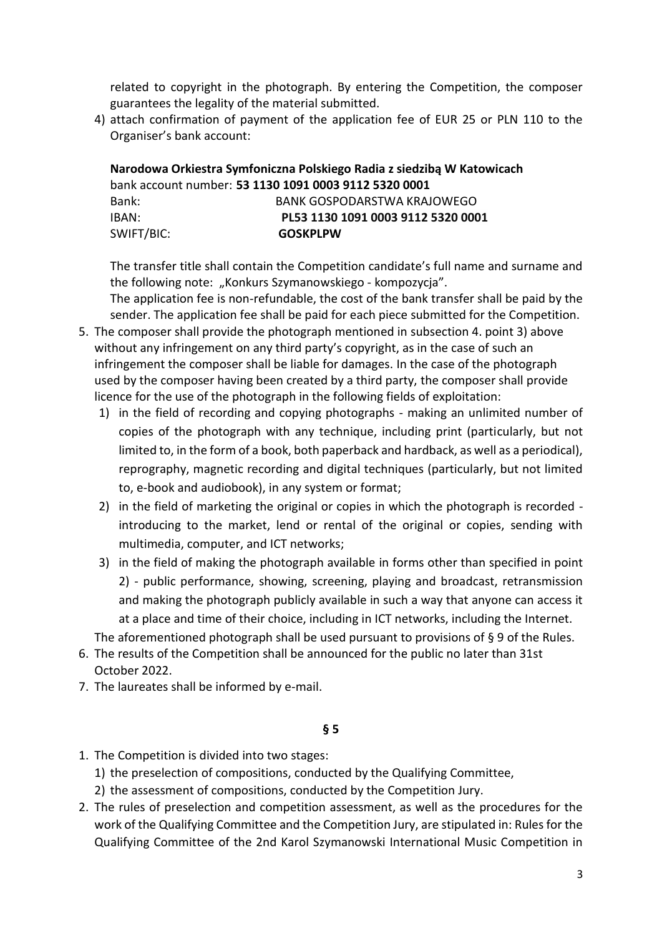related to copyright in the photograph. By entering the Competition, the composer guarantees the legality of the material submitted.

4) attach confirmation of payment of the application fee of EUR 25 or PLN 110 to the Organiser's bank account:

**Narodowa Orkiestra Symfoniczna Polskiego Radia z siedzibą W Katowicach** bank account number: **53 1130 1091 0003 9112 5320 0001** Bank: BANK GOSPODARSTWA KRAJOWEGO IBAN: **PL53 1130 1091 0003 9112 5320 0001** SWIFT/BIC: **GOSKPLPW**

The transfer title shall contain the Competition candidate's full name and surname and the following note: "Konkurs Szymanowskiego - kompozycja".

The application fee is non-refundable, the cost of the bank transfer shall be paid by the sender. The application fee shall be paid for each piece submitted for the Competition.

- 5. The composer shall provide the photograph mentioned in subsection 4. point 3) above without any infringement on any third party's copyright, as in the case of such an infringement the composer shall be liable for damages. In the case of the photograph used by the composer having been created by a third party, the composer shall provide licence for the use of the photograph in the following fields of exploitation:
	- 1) in the field of recording and copying photographs making an unlimited number of copies of the photograph with any technique, including print (particularly, but not limited to, in the form of a book, both paperback and hardback, as well as a periodical), reprography, magnetic recording and digital techniques (particularly, but not limited to, e-book and audiobook), in any system or format;
	- 2) in the field of marketing the original or copies in which the photograph is recorded introducing to the market, lend or rental of the original or copies, sending with multimedia, computer, and ICT networks;
	- 3) in the field of making the photograph available in forms other than specified in point 2) - public performance, showing, screening, playing and broadcast, retransmission and making the photograph publicly available in such a way that anyone can access it at a place and time of their choice, including in ICT networks, including the Internet.

The aforementioned photograph shall be used pursuant to provisions of § 9 of the Rules.

- 6. The results of the Competition shall be announced for the public no later than 31st October 2022.
- 7. The laureates shall be informed by e-mail.

- 1. The Competition is divided into two stages:
	- 1) the preselection of compositions, conducted by the Qualifying Committee,
	- 2) the assessment of compositions, conducted by the Competition Jury.
- 2. The rules of preselection and competition assessment, as well as the procedures for the work of the Qualifying Committee and the Competition Jury, are stipulated in: Rules for the Qualifying Committee of the 2nd Karol Szymanowski International Music Competition in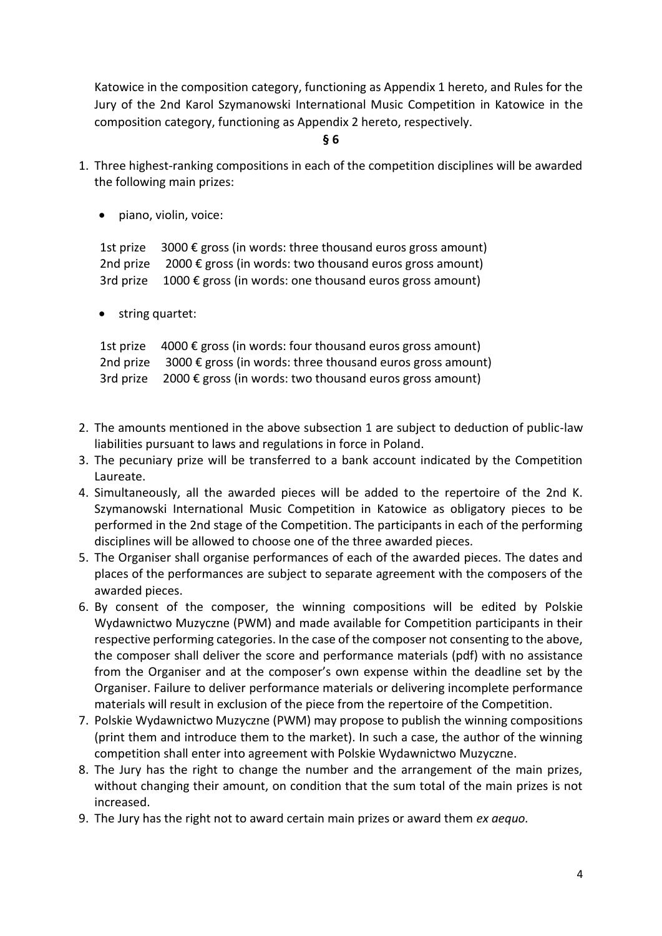Katowice in the composition category, functioning as Appendix 1 hereto, and Rules for the Jury of the 2nd Karol Szymanowski International Music Competition in Katowice in the composition category, functioning as Appendix 2 hereto, respectively.

- **§ 6**
- 1. Three highest-ranking compositions in each of the competition disciplines will be awarded the following main prizes:
	- piano, violin, voice:

1st prize  $3000 \epsilon$  gross (in words: three thousand euros gross amount) 2nd prize  $2000 \epsilon$  gross (in words: two thousand euros gross amount) 3rd prize  $1000 \epsilon$  gross (in words: one thousand euros gross amount)

• string quartet:

1st prize  $4000 \epsilon$  gross (in words: four thousand euros gross amount) 2nd prize  $3000 \epsilon$  gross (in words: three thousand euros gross amount) 3rd prize  $2000 \epsilon$  gross (in words: two thousand euros gross amount)

- 2. The amounts mentioned in the above subsection 1 are subject to deduction of public-law liabilities pursuant to laws and regulations in force in Poland.
- 3. The pecuniary prize will be transferred to a bank account indicated by the Competition Laureate.
- 4. Simultaneously, all the awarded pieces will be added to the repertoire of the 2nd K. Szymanowski International Music Competition in Katowice as obligatory pieces to be performed in the 2nd stage of the Competition. The participants in each of the performing disciplines will be allowed to choose one of the three awarded pieces.
- 5. The Organiser shall organise performances of each of the awarded pieces. The dates and places of the performances are subject to separate agreement with the composers of the awarded pieces.
- 6. By consent of the composer, the winning compositions will be edited by Polskie Wydawnictwo Muzyczne (PWM) and made available for Competition participants in their respective performing categories. In the case of the composer not consenting to the above, the composer shall deliver the score and performance materials (pdf) with no assistance from the Organiser and at the composer's own expense within the deadline set by the Organiser. Failure to deliver performance materials or delivering incomplete performance materials will result in exclusion of the piece from the repertoire of the Competition.
- 7. Polskie Wydawnictwo Muzyczne (PWM) may propose to publish the winning compositions (print them and introduce them to the market). In such a case, the author of the winning competition shall enter into agreement with Polskie Wydawnictwo Muzyczne.
- 8. The Jury has the right to change the number and the arrangement of the main prizes, without changing their amount, on condition that the sum total of the main prizes is not increased.
- 9. The Jury has the right not to award certain main prizes or award them *ex aequo.*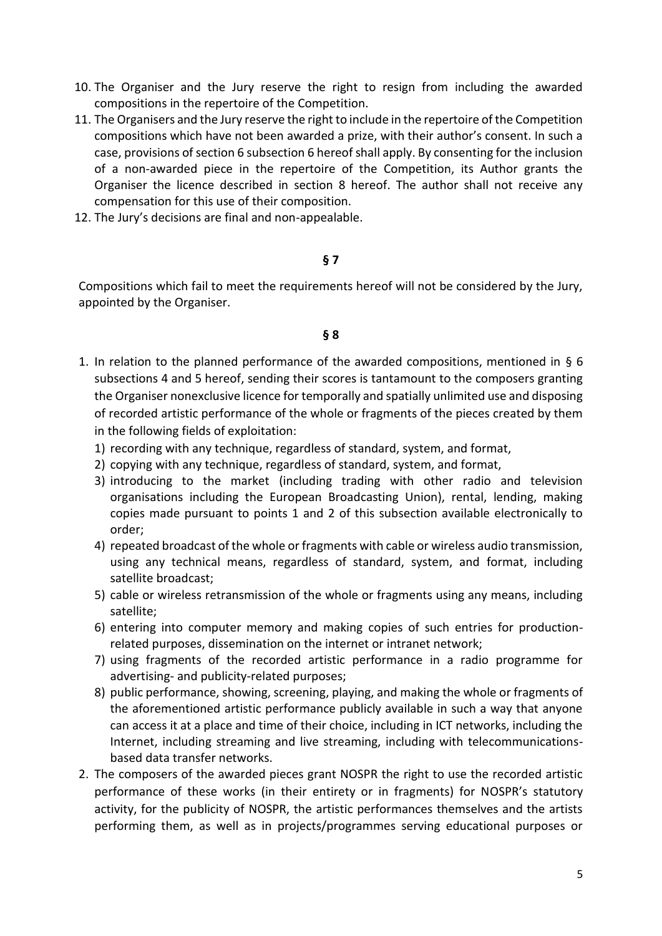- 10. The Organiser and the Jury reserve the right to resign from including the awarded compositions in the repertoire of the Competition.
- 11. The Organisers and the Jury reserve the right to include in the repertoire of the Competition compositions which have not been awarded a prize, with their author's consent. In such a case, provisions of section 6 subsection 6 hereof shall apply. By consenting for the inclusion of a non-awarded piece in the repertoire of the Competition, its Author grants the Organiser the licence described in section 8 hereof. The author shall not receive any compensation for this use of their composition.
- 12. The Jury's decisions are final and non-appealable.

### **§ 7**

Compositions which fail to meet the requirements hereof will not be considered by the Jury, appointed by the Organiser.

- 1. In relation to the planned performance of the awarded compositions, mentioned in § 6 subsections 4 and 5 hereof, sending their scores is tantamount to the composers granting the Organiser nonexclusive licence for temporally and spatially unlimited use and disposing of recorded artistic performance of the whole or fragments of the pieces created by them in the following fields of exploitation:
	- 1) recording with any technique, regardless of standard, system, and format,
	- 2) copying with any technique, regardless of standard, system, and format,
	- 3) introducing to the market (including trading with other radio and television organisations including the European Broadcasting Union), rental, lending, making copies made pursuant to points 1 and 2 of this subsection available electronically to order;
	- 4) repeated broadcast of the whole or fragments with cable or wireless audio transmission, using any technical means, regardless of standard, system, and format, including satellite broadcast;
	- 5) cable or wireless retransmission of the whole or fragments using any means, including satellite;
	- 6) entering into computer memory and making copies of such entries for productionrelated purposes, dissemination on the internet or intranet network;
	- 7) using fragments of the recorded artistic performance in a radio programme for advertising- and publicity-related purposes;
	- 8) public performance, showing, screening, playing, and making the whole or fragments of the aforementioned artistic performance publicly available in such a way that anyone can access it at a place and time of their choice, including in ICT networks, including the Internet, including streaming and live streaming, including with telecommunicationsbased data transfer networks.
- 2. The composers of the awarded pieces grant NOSPR the right to use the recorded artistic performance of these works (in their entirety or in fragments) for NOSPR's statutory activity, for the publicity of NOSPR, the artistic performances themselves and the artists performing them, as well as in projects/programmes serving educational purposes or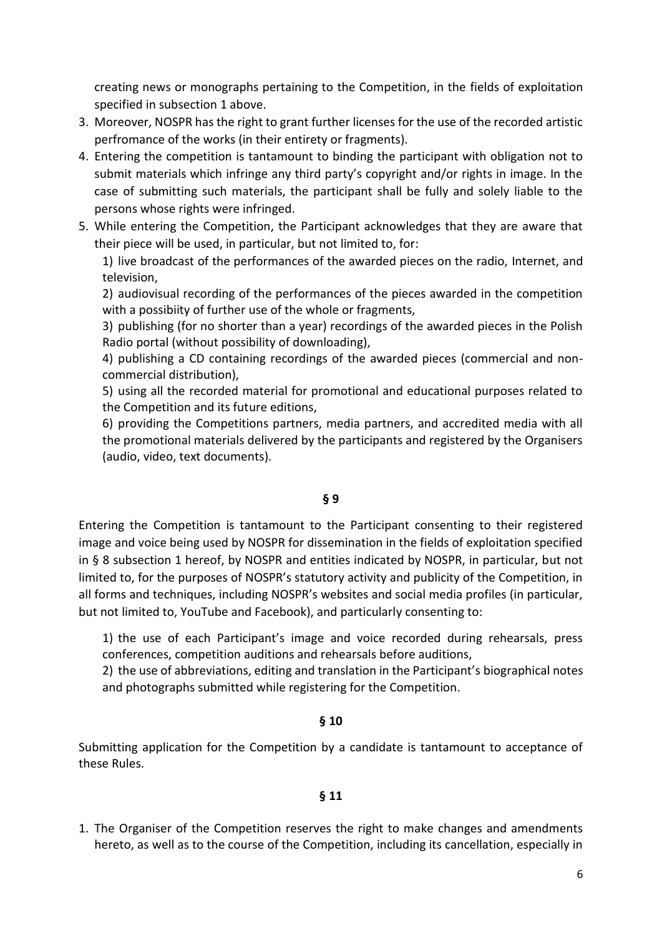creating news or monographs pertaining to the Competition, in the fields of exploitation specified in subsection 1 above.

- 3. Moreover, NOSPR has the right to grant further licenses for the use of the recorded artistic perfromance of the works (in their entirety or fragments).
- 4. Entering the competition is tantamount to binding the participant with obligation not to submit materials which infringe any third party's copyright and/or rights in image. In the case of submitting such materials, the participant shall be fully and solely liable to the persons whose rights were infringed.
- 5. While entering the Competition, the Participant acknowledges that they are aware that their piece will be used, in particular, but not limited to, for:

1) live broadcast of the performances of the awarded pieces on the radio, Internet, and television,

2) audiovisual recording of the performances of the pieces awarded in the competition with a possibiity of further use of the whole or fragments,

3) publishing (for no shorter than a year) recordings of the awarded pieces in the Polish Radio portal (without possibility of downloading),

4) publishing a CD containing recordings of the awarded pieces (commercial and noncommercial distribution),

5) using all the recorded material for promotional and educational purposes related to the Competition and its future editions,

6) providing the Competitions partners, media partners, and accredited media with all the promotional materials delivered by the participants and registered by the Organisers (audio, video, text documents).

# **§ 9**

Entering the Competition is tantamount to the Participant consenting to their registered image and voice being used by NOSPR for dissemination in the fields of exploitation specified in § 8 subsection 1 hereof, by NOSPR and entities indicated by NOSPR, in particular, but not limited to, for the purposes of NOSPR's statutory activity and publicity of the Competition, in all forms and techniques, including NOSPR's websites and social media profiles (in particular, but not limited to, YouTube and Facebook), and particularly consenting to:

1) the use of each Participant's image and voice recorded during rehearsals, press conferences, competition auditions and rehearsals before auditions,

2) the use of abbreviations, editing and translation in the Participant's biographical notes and photographs submitted while registering for the Competition.

# **§ 10**

Submitting application for the Competition by a candidate is tantamount to acceptance of these Rules.

# **§ 11**

1. The Organiser of the Competition reserves the right to make changes and amendments hereto, as well as to the course of the Competition, including its cancellation, especially in